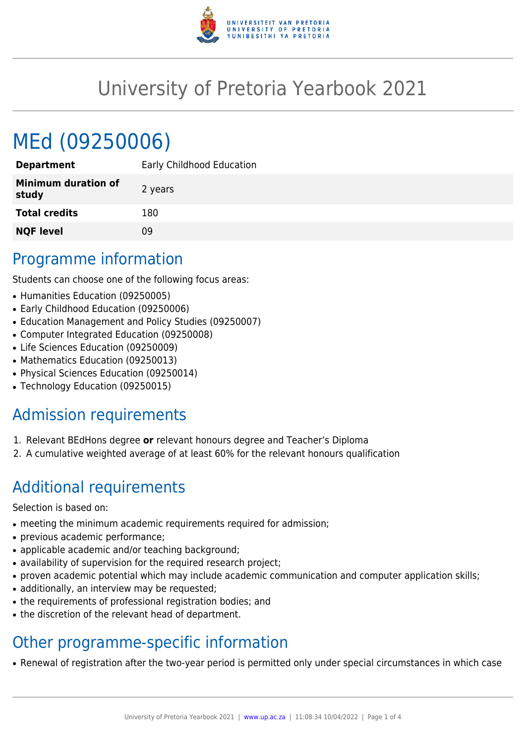

## University of Pretoria Yearbook 2021

# MEd (09250006)

| <b>Department</b>                   | Early Childhood Education |
|-------------------------------------|---------------------------|
| <b>Minimum duration of</b><br>study | 2 years                   |
| <b>Total credits</b>                | 180                       |
| <b>NQF level</b>                    | ΩÓ                        |

#### Programme information

Students can choose one of the following focus areas:

- Humanities Education (09250005)
- Early Childhood Education (09250006)
- Education Management and Policy Studies (09250007)
- Computer Integrated Education (09250008)
- Life Sciences Education (09250009)
- Mathematics Education (09250013)
- Physical Sciences Education (09250014)
- Technology Education (09250015)

## Admission requirements

- 1. Relevant BEdHons degree **or** relevant honours degree and Teacher's Diploma
- 2. A cumulative weighted average of at least 60% for the relevant honours qualification

## Additional requirements

Selection is based on:

- meeting the minimum academic requirements required for admission;
- previous academic performance;
- applicable academic and/or teaching background;
- availability of supervision for the required research project;
- proven academic potential which may include academic communication and computer application skills;
- additionally, an interview may be requested;
- the requirements of professional registration bodies; and
- the discretion of the relevant head of department.

## Other programme-specific information

• Renewal of registration after the two-year period is permitted only under special circumstances in which case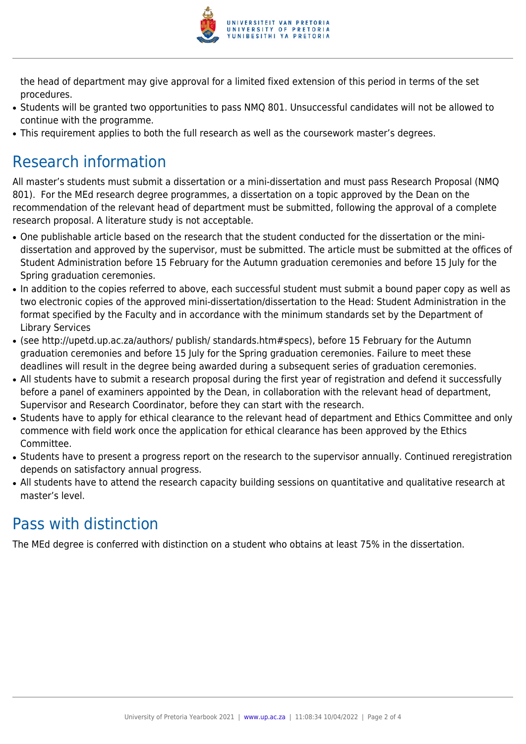

the head of department may give approval for a limited fixed extension of this period in terms of the set procedures.

- Students will be granted two opportunities to pass NMQ 801. Unsuccessful candidates will not be allowed to continue with the programme.
- This requirement applies to both the full research as well as the coursework master's degrees.

## Research information

All master's students must submit a dissertation or a mini-dissertation and must pass Research Proposal (NMQ 801). For the MEd research degree programmes, a dissertation on a topic approved by the Dean on the recommendation of the relevant head of department must be submitted, following the approval of a complete research proposal. A literature study is not acceptable.

- One publishable article based on the research that the student conducted for the dissertation or the minidissertation and approved by the supervisor, must be submitted. The article must be submitted at the offices of Student Administration before 15 February for the Autumn graduation ceremonies and before 15 July for the Spring graduation ceremonies.
- In addition to the copies referred to above, each successful student must submit a bound paper copy as well as two electronic copies of the approved mini-dissertation/dissertation to the Head: Student Administration in the format specified by the Faculty and in accordance with the minimum standards set by the Department of Library Services
- (see http://upetd.up.ac.za/authors/ publish/ standards.htm#specs), before 15 February for the Autumn graduation ceremonies and before 15 July for the Spring graduation ceremonies. Failure to meet these deadlines will result in the degree being awarded during a subsequent series of graduation ceremonies.
- All students have to submit a research proposal during the first year of registration and defend it successfully before a panel of examiners appointed by the Dean, in collaboration with the relevant head of department, Supervisor and Research Coordinator, before they can start with the research.
- Students have to apply for ethical clearance to the relevant head of department and Ethics Committee and only commence with field work once the application for ethical clearance has been approved by the Ethics Committee.
- Students have to present a progress report on the research to the supervisor annually. Continued reregistration depends on satisfactory annual progress.
- All students have to attend the research capacity building sessions on quantitative and qualitative research at master's level.

#### Pass with distinction

The MEd degree is conferred with distinction on a student who obtains at least 75% in the dissertation.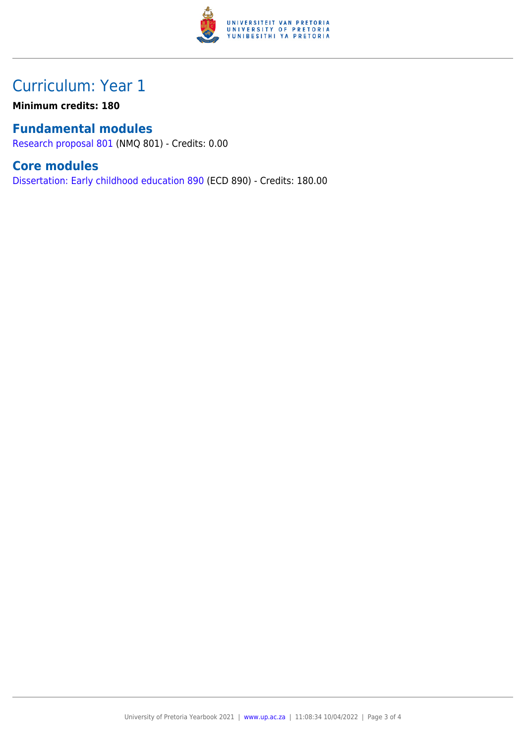

### Curriculum: Year 1

**Minimum credits: 180**

#### **Fundamental modules**

[Research proposal 801](https://www.up.ac.za/faculty-of-education/yearbooks/2021/modules/view/NMQ 801) (NMQ 801) - Credits: 0.00

#### **Core modules**

[Dissertation: Early childhood education 890](https://www.up.ac.za/faculty-of-education/yearbooks/2021/modules/view/ECD 890) (ECD 890) - Credits: 180.00